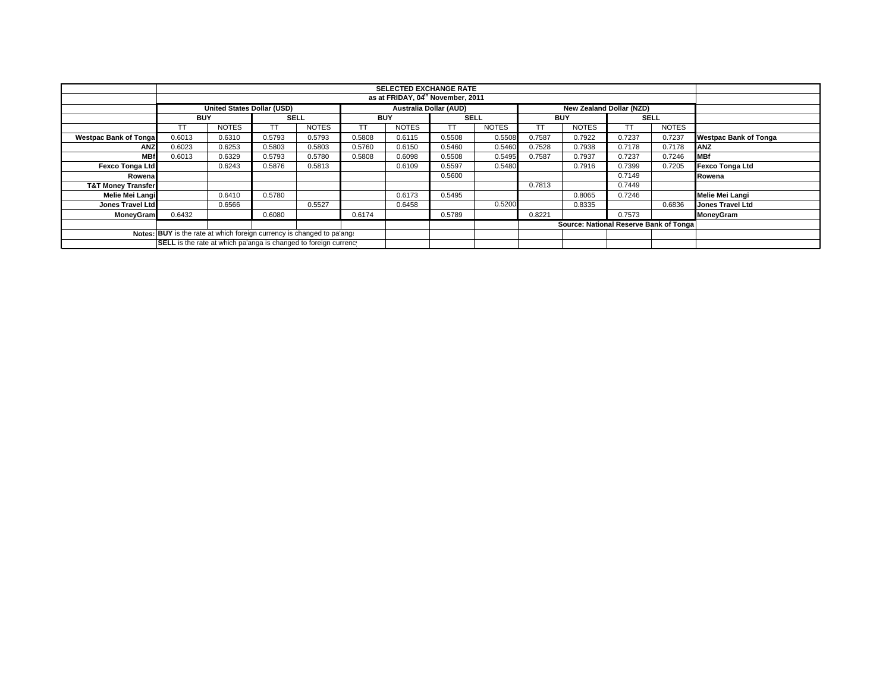| <b>SELECTED EXCHANGE RATE</b>                                          |            |                                   |             |              |            |                               |             |              |            |                                        |                          |              |                              |
|------------------------------------------------------------------------|------------|-----------------------------------|-------------|--------------|------------|-------------------------------|-------------|--------------|------------|----------------------------------------|--------------------------|--------------|------------------------------|
| as at FRIDAY, 04 <sup>th</sup> November, 2011                          |            |                                   |             |              |            |                               |             |              |            |                                        |                          |              |                              |
|                                                                        |            | <b>United States Dollar (USD)</b> |             |              |            | <b>Australia Dollar (AUD)</b> |             |              |            |                                        | New Zealand Dollar (NZD) |              |                              |
|                                                                        | <b>BUY</b> |                                   | <b>SELL</b> |              | <b>BUY</b> |                               | <b>SELL</b> |              | <b>BUY</b> |                                        | <b>SELL</b>              |              |                              |
|                                                                        | TΤ         | <b>NOTES</b>                      |             | <b>NOTES</b> | TT         | <b>NOTES</b>                  | ТT          | <b>NOTES</b> |            | <b>NOTES</b>                           |                          | <b>NOTES</b> |                              |
| <b>Westpac Bank of Tongal</b>                                          | 0.6013     | 0.6310                            | 0.5793      | 0.5793       | 0.5808     | 0.6115                        | 0.5508      | 0.5508       | 0.7587     | 0.7922                                 | 0.7237                   | 0.7237       | <b>Westpac Bank of Tonga</b> |
| ANZ                                                                    | 0.6023     | 0.6253                            | 0.5803      | 0.5803       | 0.5760     | 0.6150                        | 0.5460      | 0.5460       | 0.7528     | 0.7938                                 | 0.7178                   | 0.7178       | ANZ                          |
| <b>MBf</b>                                                             | 0.6013     | 0.6329                            | 0.5793      | 0.5780       | 0.5808     | 0.6098                        | 0.5508      | 0.5495       | 0.7587     | 0.7937                                 | 0.7237                   | 0.7246       | <b>IMBf</b>                  |
| <b>Fexco Tonga Ltd</b>                                                 |            | 0.6243                            | 0.5876      | 0.5813       |            | 0.6109                        | 0.5597      | 0.5480       |            | 0.7916                                 | 0.7399                   | 0.7205       | Fexco Tonga Ltd              |
| Rowenal                                                                |            |                                   |             |              |            |                               | 0.5600      |              |            |                                        | 0.7149                   |              | Rowena                       |
| <b>T&amp;T Money Transfer</b>                                          |            |                                   |             |              |            |                               |             |              | 0.7813     |                                        | 0.7449                   |              |                              |
| Melie Mei Langi                                                        |            | 0.6410                            | 0.5780      |              |            | 0.6173                        | 0.5495      |              |            | 0.8065                                 | 0.7246                   |              | Melie Mei Langi              |
| Jones Travel Ltd                                                       |            | 0.6566                            |             | 0.5527       |            | 0.6458                        |             | 0.5200       |            | 0.8335                                 |                          | 0.6836       | <b>Jones Travel Ltd</b>      |
| <b>MoneyGram</b>                                                       | 0.6432     |                                   | 0.6080      |              | 0.6174     |                               | 0.5789      |              | 0.8221     |                                        | 0.7573                   |              | <b>MoneyGram</b>             |
|                                                                        |            |                                   |             |              |            |                               |             |              |            | Source: National Reserve Bank of Tonga |                          |              |                              |
| Notes: BUY is the rate at which foreign currency is changed to pa'ang: |            |                                   |             |              |            |                               |             |              |            |                                        |                          |              |                              |
| SELL is the rate at which pa'anga is changed to foreign currency       |            |                                   |             |              |            |                               |             |              |            |                                        |                          |              |                              |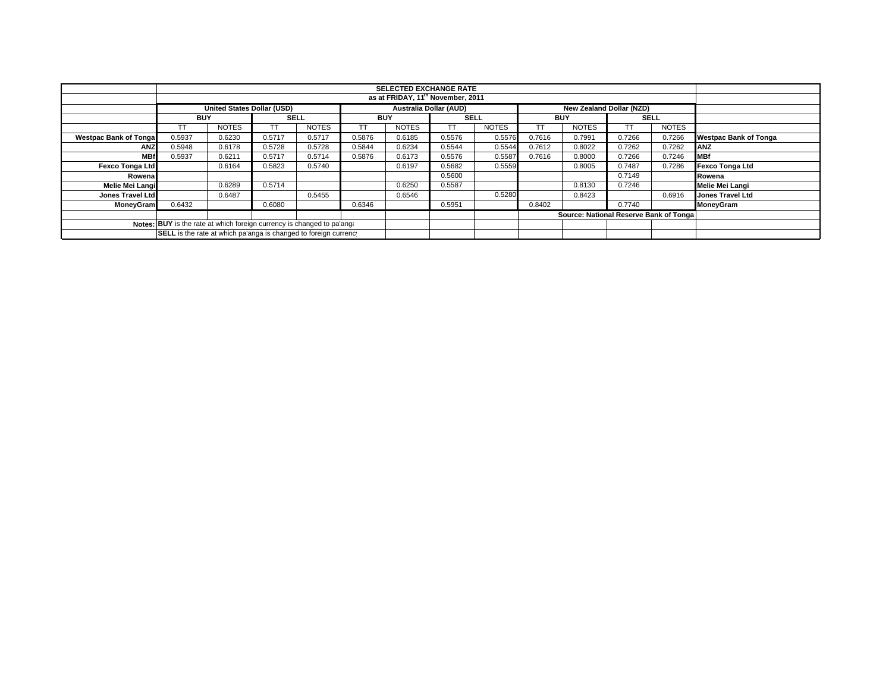|                                                                        |                                                                  | <b>SELECTED EXCHANGE RATE</b>     |             |              |            |                               |             |              |                  |                                        |             |              |                              |
|------------------------------------------------------------------------|------------------------------------------------------------------|-----------------------------------|-------------|--------------|------------|-------------------------------|-------------|--------------|------------------|----------------------------------------|-------------|--------------|------------------------------|
|                                                                        |                                                                  |                                   |             |              |            |                               |             |              |                  |                                        |             |              |                              |
|                                                                        |                                                                  | <b>United States Dollar (USD)</b> |             |              |            | <b>Australia Dollar (AUD)</b> |             |              |                  | New Zealand Dollar (NZD)               |             |              |                              |
|                                                                        | <b>BUY</b>                                                       |                                   | <b>SELL</b> |              | <b>BUY</b> |                               | <b>SELL</b> |              | <b>BUY</b>       |                                        | <b>SELL</b> |              |                              |
|                                                                        |                                                                  | <b>NOTES</b>                      |             | <b>NOTES</b> |            | <b>NOTES</b>                  |             | <b>NOTES</b> | TT               | <b>NOTES</b>                           |             | <b>NOTES</b> |                              |
| <b>Westpac Bank of Tonga</b>                                           | 0.5937                                                           | 0.6230                            | 0.5717      | 0.5717       | 0.5876     | 0.6185                        | 0.5576      | 0.5576       | 0.7616           | 0.7991                                 | 0.7266      | 0.7266       | <b>Westpac Bank of Tonga</b> |
| <b>ANZ</b>                                                             | 0.5948                                                           | 0.6178                            | 0.5728      | 0.5728       | 0.5844     | 0.6234                        | 0.5544      | 0.5544       | 0.7612           | 0.8022                                 | 0.7262      | 0.7262       | <b>ANZ</b>                   |
| <b>MBf</b>                                                             | 0.5937                                                           | 0.6211                            | 0.5717      | 0.5714       | 0.5876     | 0.6173                        | 0.5576      | 0.5587       | 0.7616           | 0.8000                                 | 0.7266      | 0.7246       | <b>MBf</b>                   |
| <b>Fexco Tonga Ltd</b>                                                 |                                                                  | 0.6164                            | 0.5823      | 0.5740       |            | 0.6197                        | 0.5682      | 0.5559       |                  | 0.8005                                 | 0.7487      | 0.7286       | Fexco Tonga Ltd              |
| Rowena                                                                 |                                                                  |                                   |             |              |            |                               | 0.5600      |              |                  |                                        | 0.7149      |              | Rowena                       |
| Melie Mei Langi                                                        | 0.6289<br>0.5714                                                 |                                   |             |              |            | 0.6250                        | 0.5587      |              |                  | 0.8130                                 | 0.7246      |              | Melie Mei Langi              |
| Jones Travel Ltd                                                       |                                                                  | 0.6487                            |             | 0.5455       |            | 0.6546                        |             | 0.5280       | 0.8423<br>0.6916 |                                        |             |              | <b>Jones Travel Ltd</b>      |
| <b>MoneyGram</b>                                                       | 0.6432                                                           |                                   | 0.6080      |              | 0.6346     |                               | 0.5951      |              | 0.8402           |                                        | 0.7740      |              | MoneyGram                    |
|                                                                        |                                                                  |                                   |             |              |            |                               |             |              |                  | Source: National Reserve Bank of Tonga |             |              |                              |
| Notes: BUY is the rate at which foreign currency is changed to pa'ang: |                                                                  |                                   |             |              |            |                               |             |              |                  |                                        |             |              |                              |
|                                                                        | SELL is the rate at which pa'anga is changed to foreign currency |                                   |             |              |            |                               |             |              |                  |                                        |             |              |                              |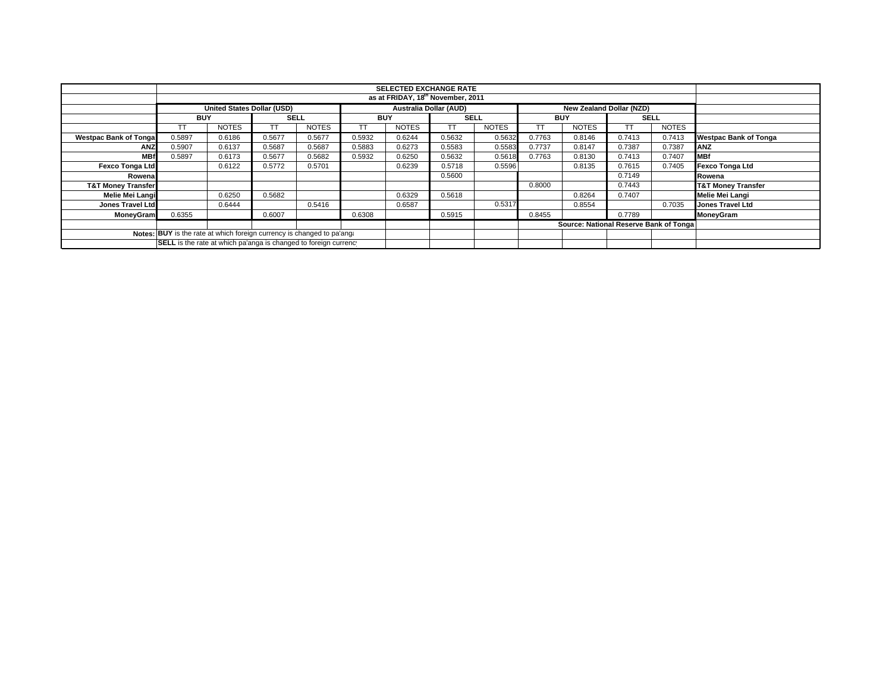|                                                                        | <b>SELECTED EXCHANGE RATE</b> |                                   |             |              |            |                                                           |             |              |            |                                        |             |              |                               |
|------------------------------------------------------------------------|-------------------------------|-----------------------------------|-------------|--------------|------------|-----------------------------------------------------------|-------------|--------------|------------|----------------------------------------|-------------|--------------|-------------------------------|
| as at FRIDAY, 18 <sup>th</sup> November, 2011                          |                               |                                   |             |              |            |                                                           |             |              |            |                                        |             |              |                               |
|                                                                        |                               | <b>United States Dollar (USD)</b> |             |              |            | <b>Australia Dollar (AUD)</b><br>New Zealand Dollar (NZD) |             |              |            |                                        |             |              |                               |
|                                                                        | <b>BUY</b>                    |                                   | <b>SELL</b> |              | <b>BUY</b> |                                                           | <b>SELL</b> |              | <b>BUY</b> |                                        | <b>SELL</b> |              |                               |
|                                                                        | TΤ                            | <b>NOTES</b>                      |             | <b>NOTES</b> | TТ         | <b>NOTES</b>                                              | ТT          | <b>NOTES</b> |            | <b>NOTES</b>                           |             | <b>NOTES</b> |                               |
| <b>Westpac Bank of Tongal</b>                                          | 0.5897                        | 0.6186                            | 0.5677      | 0.5677       | 0.5932     | 0.6244                                                    | 0.5632      | 0.5632       | 0.7763     | 0.8146                                 | 0.7413      | 0.7413       | <b>Westpac Bank of Tonga</b>  |
| ANZ                                                                    | 0.5907                        | 0.6137                            | 0.5687      | 0.5687       | 0.5883     | 0.6273                                                    | 0.5583      | 0.5583       | 0.7737     | 0.8147                                 | 0.7387      | 0.7387       | ANZ                           |
| <b>MBf</b>                                                             | 0.5897                        | 0.6173                            | 0.5677      | 0.5682       | 0.5932     | 0.6250                                                    | 0.5632      | 0.5618       | 0.7763     | 0.8130                                 | 0.7413      | 0.7407       | <b>IMBf</b>                   |
| <b>Fexco Tonga Ltd</b>                                                 |                               | 0.6122                            | 0.5772      | 0.5701       |            | 0.6239                                                    | 0.5718      | 0.5596       |            | 0.8135                                 | 0.7615      | 0.7405       | Fexco Tonga Ltd               |
| Rowenal                                                                |                               |                                   |             |              |            |                                                           | 0.5600      |              |            |                                        | 0.7149      |              | Rowena                        |
| <b>T&amp;T Money Transfer</b>                                          |                               |                                   |             |              |            |                                                           |             |              | 0.8000     |                                        | 0.7443      |              | <b>T&amp;T Money Transfer</b> |
| Melie Mei Langi                                                        |                               | 0.6250                            | 0.5682      |              |            | 0.6329                                                    | 0.5618      |              |            | 0.8264                                 | 0.7407      |              | Melie Mei Langi               |
| Jones Travel Ltd                                                       |                               | 0.6444                            |             | 0.5416       |            | 0.6587                                                    |             | 0.5317       |            | 0.8554                                 |             | 0.7035       | <b>Jones Travel Ltd</b>       |
| <b>MoneyGram</b>                                                       | 0.6355                        |                                   | 0.6007      |              | 0.6308     |                                                           | 0.5915      |              | 0.8455     |                                        | 0.7789      |              | <b>MoneyGram</b>              |
|                                                                        |                               |                                   |             |              |            |                                                           |             |              |            | Source: National Reserve Bank of Tonga |             |              |                               |
| Notes: BUY is the rate at which foreign currency is changed to pa'ang: |                               |                                   |             |              |            |                                                           |             |              |            |                                        |             |              |                               |
| SELL is the rate at which pa'anga is changed to foreign currency       |                               |                                   |             |              |            |                                                           |             |              |            |                                        |             |              |                               |